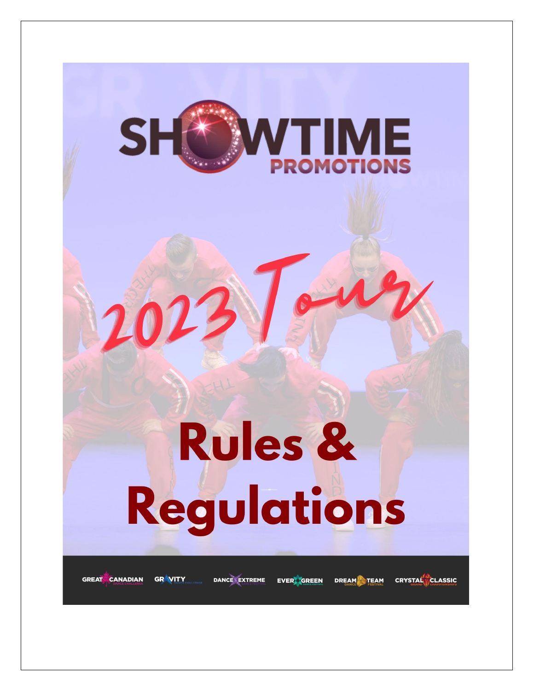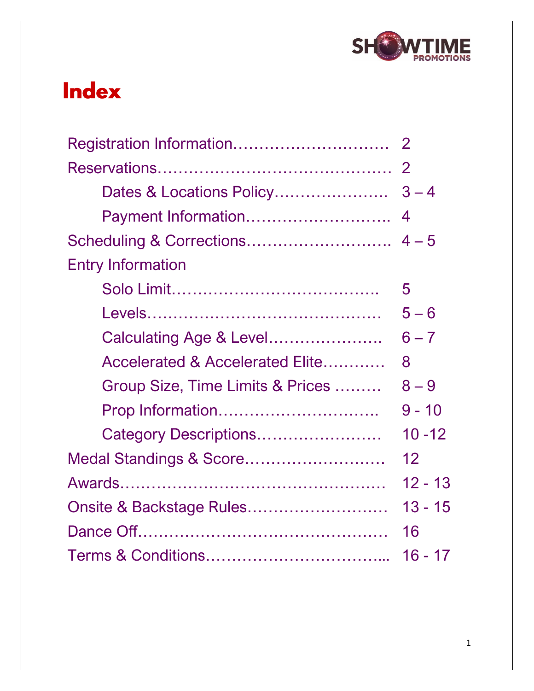

## **Index**

| Payment Information              | $\overline{4}$ |
|----------------------------------|----------------|
|                                  |                |
| <b>Entry Information</b>         |                |
|                                  | 5              |
|                                  | $5 - 6$        |
| Calculating Age & Level          | $6 - 7$        |
| Accelerated & Accelerated Elite  | 8              |
| Group Size, Time Limits & Prices | $8 - 9$        |
| Prop Information                 | $9 - 10$       |
| Category Descriptions            | $10 - 12$      |
| Medal Standings & Score          | 12             |
|                                  | $12 - 13$      |
|                                  | 13 - 15        |
|                                  | 16             |
|                                  | 16 - 17        |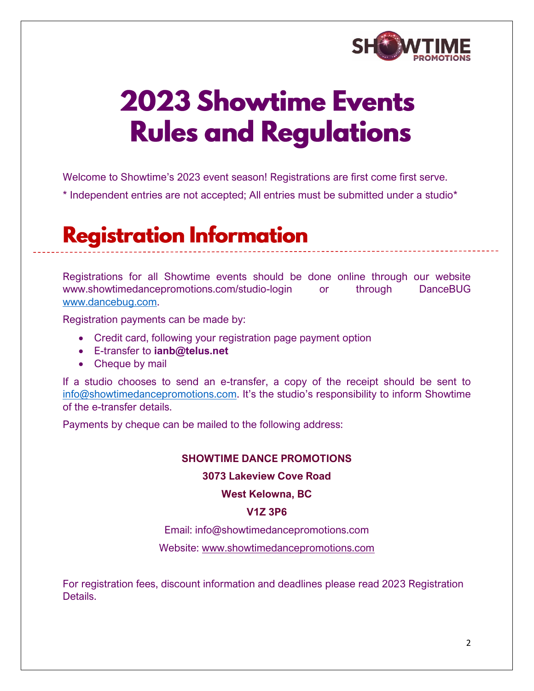

# **2023 Showtime Events Rules and Regulations**

Welcome to Showtime's 2023 event season! Registrations are first come first serve.

\* Independent entries are not accepted; All entries must be submitted under a studio\*

## **Registration Information**

Registrations for all Showtime events should be done online through our website www.showtimedancepromotions.com/studio-login or through DanceBUG [www.dancebug.com.](http://www.dancebug.com/)

Registration payments can be made by:

- Credit card, following your registration page payment option
- E-transfer to **ianb@telus.net**
- Cheque by mail

If a studio chooses to send an e-transfer, a copy of the receipt should be sent to [info@showtimedancepromotions.com](mailto:info@showtimedancepromotions.com). It's the studio's responsibility to inform Showtime of the e-transfer details.

Payments by cheque can be mailed to the following address:

#### **SHOWTIME DANCE PROMOTIONS**

**3073 Lakeview Cove Road**

**West Kelowna, BC** 

#### **V1Z 3P6**

Email: info@showtimedancepromotions.com

Website: www.showtimedancepromotions.com

For registration fees, discount information and deadlines please read 2023 Registration Details.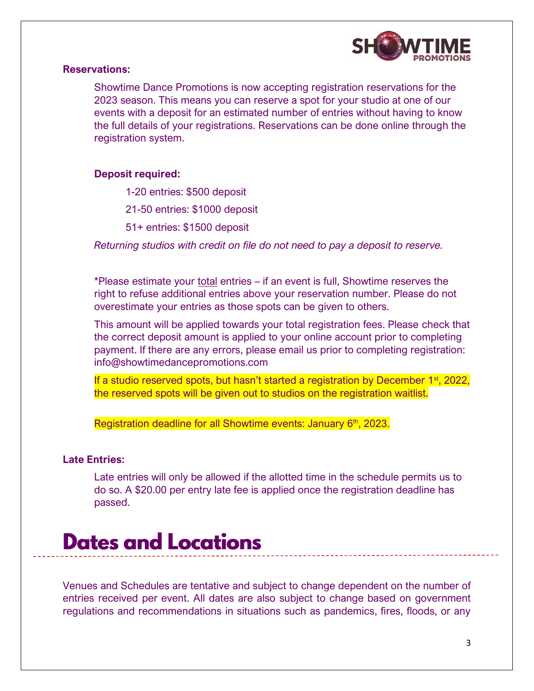

#### **Reservations:**

Showtime Dance Promotions is now accepting registration reservations for the 2023 season. This means you can reserve a spot for your studio at one of our events with a deposit for an estimated number of entries without having to know the full details of your registrations. Reservations can be done online through the registration system.

#### **Deposit required:**

1-20 entries: \$500 deposit

21-50 entries: \$1000 deposit

51+ entries: \$1500 deposit

*Returning studios with credit on file do not need to pay a deposit to reserve.* 

\*Please estimate your total entries – if an event is full, Showtime reserves the right to refuse additional entries above your reservation number. Please do not overestimate your entries as those spots can be given to others.

This amount will be applied towards your total registration fees. Please check that the correct deposit amount is applied to your online account prior to completing payment. If there are any errors, please email us prior to completing registration: info@showtimedancepromotions.com

If a studio reserved spots, but hasn't started a registration by December  $1<sup>st</sup>$ , 2022, the reserved spots will be given out to studios on the registration waitlist.

Registration deadline for all Showtime events: January 6<sup>th</sup>, 2023.

#### **Late Entries:**

Late entries will only be allowed if the allotted time in the schedule permits us to do so. A \$20.00 per entry late fee is applied once the registration deadline has passed.

## **Dates and Locations**

Venues and Schedules are tentative and subject to change dependent on the number of entries received per event. All dates are also subject to change based on government regulations and recommendations in situations such as pandemics, fires, floods, or any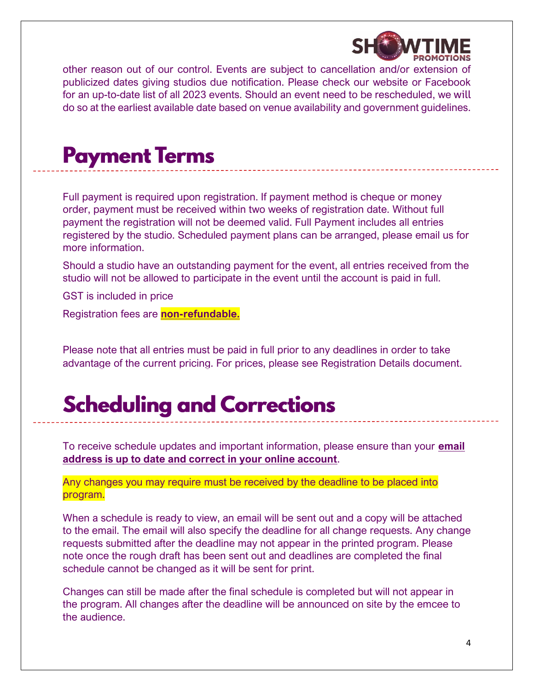

other reason out of our control. Events are subject to cancellation and/or extension of publicized dates giving studios due notification. Please check our website or Facebook for an up-to-date list of all 2023 events. Should an event need to be rescheduled, we will do so at the earliest available date based on venue availability and government guidelines.

## **Payment Terms**

Full payment is required upon registration. If payment method is cheque or money order, payment must be received within two weeks of registration date. Without full payment the registration will not be deemed valid. Full Payment includes all entries registered by the studio. Scheduled payment plans can be arranged, please email us for more information.

Should a studio have an outstanding payment for the event, all entries received from the studio will not be allowed to participate in the event until the account is paid in full.

GST is included in price

Registration fees are **non-refundable.**

Please note that all entries must be paid in full prior to any deadlines in order to take advantage of the current pricing. For prices, please see Registration Details document.

## **Scheduling and Corrections**

To receive schedule updates and important information, please ensure than your **email address is up to date and correct in your online account**.

Any changes you may require must be received by the deadline to be placed into program.

When a schedule is ready to view, an email will be sent out and a copy will be attached to the email. The email will also specify the deadline for all change requests. Any change requests submitted after the deadline may not appear in the printed program. Please note once the rough draft has been sent out and deadlines are completed the final schedule cannot be changed as it will be sent for print.

Changes can still be made after the final schedule is completed but will not appear in the program. All changes after the deadline will be announced on site by the emcee to the audience.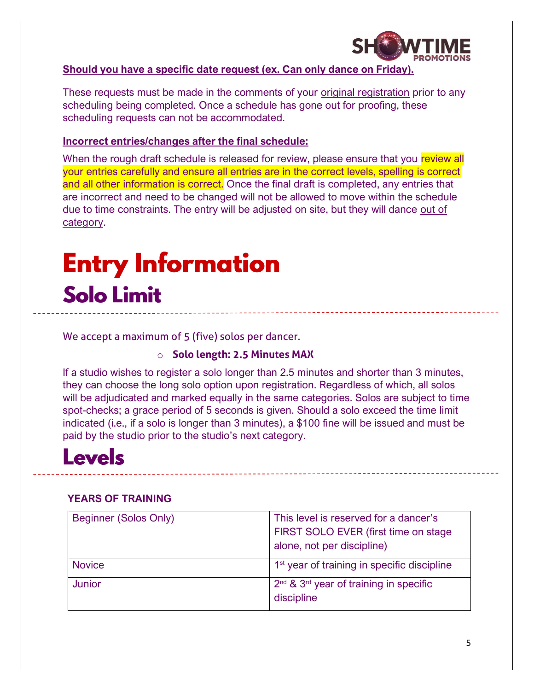

#### **Should you have a specific date request (ex. Can only dance on Friday).**

These requests must be made in the comments of your original registration prior to any scheduling being completed. Once a schedule has gone out for proofing, these scheduling requests can not be accommodated.

#### **Incorrect entries/changes after the final schedule:**

When the rough draft schedule is released for review, please ensure that you review all your entries carefully and ensure all entries are in the correct levels, spelling is correct and all other information is correct. Once the final draft is completed, any entries that are incorrect and need to be changed will not be allowed to move within the schedule due to time constraints. The entry will be adjusted on site, but they will dance out of category.

# **Entry Information Solo Limit**

We accept a maximum of 5 (five) solos per dancer.

### o **Solo length: 2.5 Minutes MAX**

If a studio wishes to register a solo longer than 2.5 minutes and shorter than 3 minutes, they can choose the long solo option upon registration. Regardless of which, all solos will be adjudicated and marked equally in the same categories. Solos are subject to time spot-checks; a grace period of 5 seconds is given. Should a solo exceed the time limit indicated (i.e., if a solo is longer than 3 minutes), a \$100 fine will be issued and must be paid by the studio prior to the studio's next category.

## **Levels**

### **YEARS OF TRAINING**

| Beginner (Solos Only) | This level is reserved for a dancer's<br>FIRST SOLO EVER (first time on stage<br>alone, not per discipline) |
|-----------------------|-------------------------------------------------------------------------------------------------------------|
| <b>Novice</b>         | 1 <sup>st</sup> year of training in specific discipline                                                     |
| <b>Junior</b>         | $2^{nd}$ & $3^{rd}$ year of training in specific<br>discipline                                              |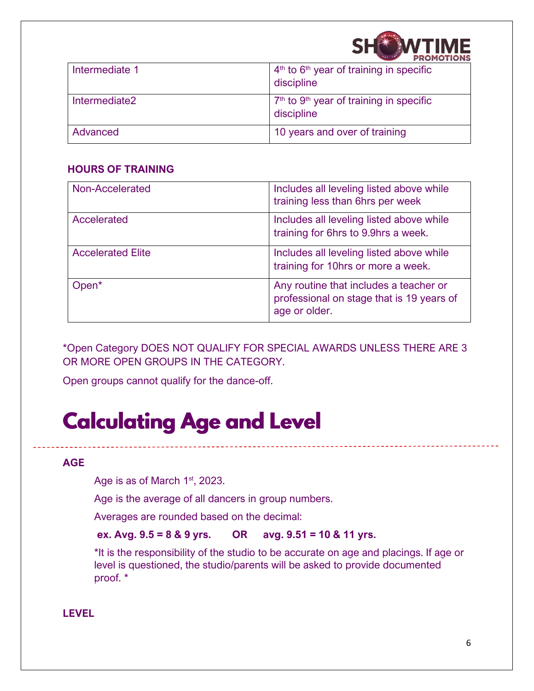

| Intermediate 1 | $4th$ to $6th$ year of training in specific<br>discipline           |
|----------------|---------------------------------------------------------------------|
| Intermediate2  | $7th$ to 9 <sup>th</sup> year of training in specific<br>discipline |
| Advanced       | 10 years and over of training                                       |

#### **HOURS OF TRAINING**

| Non-Accelerated          | Includes all leveling listed above while<br>training less than 6hrs per week                         |
|--------------------------|------------------------------------------------------------------------------------------------------|
| Accelerated              | Includes all leveling listed above while<br>training for 6hrs to 9.9hrs a week.                      |
| <b>Accelerated Elite</b> | Includes all leveling listed above while<br>training for 10hrs or more a week.                       |
| Open <sup>*</sup>        | Any routine that includes a teacher or<br>professional on stage that is 19 years of<br>age or older. |

\*Open Category DOES NOT QUALIFY FOR SPECIAL AWARDS UNLESS THERE ARE 3 OR MORE OPEN GROUPS IN THE CATEGORY.

Open groups cannot qualify for the dance-off.

## **Calculating Age and Level**

#### **AGE**

Age is as of March 1<sup>st</sup>, 2023.

Age is the average of all dancers in group numbers.

Averages are rounded based on the decimal:

#### **ex. Avg. 9.5 = 8 & 9 yrs. OR avg. 9.51 = 10 & 11 yrs.**

\*It is the responsibility of the studio to be accurate on age and placings. If age or level is questioned, the studio/parents will be asked to provide documented proof. \*

#### **LEVEL**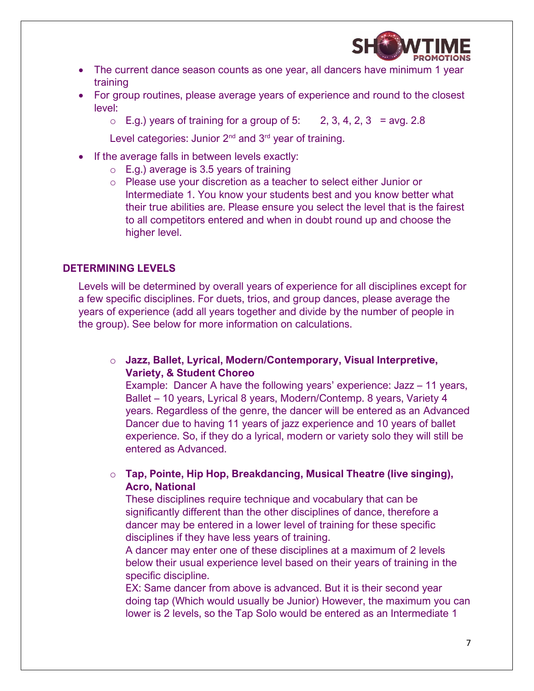

- The current dance season counts as one year, all dancers have minimum 1 year training
- For group routines, please average years of experience and round to the closest level:
	- $\circ$  E.g.) years of training for a group of 5: 2, 3, 4, 2, 3 = avg. 2.8

Level categories: Junior 2<sup>nd</sup> and 3<sup>rd</sup> year of training.

- If the average falls in between levels exactly:
	- $\circ$  E.g.) average is 3.5 years of training
	- o Please use your discretion as a teacher to select either Junior or Intermediate 1. You know your students best and you know better what their true abilities are. Please ensure you select the level that is the fairest to all competitors entered and when in doubt round up and choose the higher level.

#### **DETERMINING LEVELS**

Levels will be determined by overall years of experience for all disciplines except for a few specific disciplines. For duets, trios, and group dances, please average the years of experience (add all years together and divide by the number of people in the group). See below for more information on calculations.

o **Jazz, Ballet, Lyrical, Modern/Contemporary, Visual Interpretive, Variety, & Student Choreo**

Example: Dancer A have the following years' experience: Jazz – 11 years, Ballet – 10 years, Lyrical 8 years, Modern/Contemp. 8 years, Variety 4 years. Regardless of the genre, the dancer will be entered as an Advanced Dancer due to having 11 years of jazz experience and 10 years of ballet experience. So, if they do a lyrical, modern or variety solo they will still be entered as Advanced.

o **Tap, Pointe, Hip Hop, Breakdancing, Musical Theatre (live singing), Acro, National**

These disciplines require technique and vocabulary that can be significantly different than the other disciplines of dance, therefore a dancer may be entered in a lower level of training for these specific disciplines if they have less years of training.

A dancer may enter one of these disciplines at a maximum of 2 levels below their usual experience level based on their years of training in the specific discipline.

EX: Same dancer from above is advanced. But it is their second year doing tap (Which would usually be Junior) However, the maximum you can lower is 2 levels, so the Tap Solo would be entered as an Intermediate 1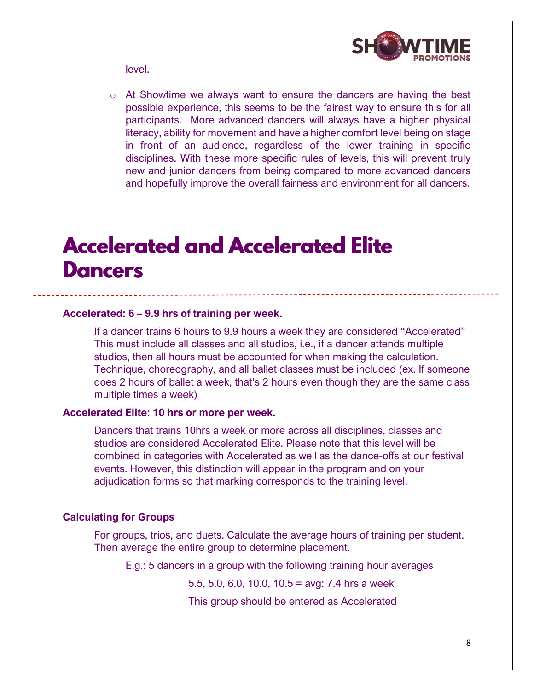

level.

o At Showtime we always want to ensure the dancers are having the best possible experience, this seems to be the fairest way to ensure this for all participants. More advanced dancers will always have a higher physical literacy, ability for movement and have a higher comfort level being on stage in front of an audience, regardless of the lower training in specific disciplines. With these more specific rules of levels, this will prevent truly new and junior dancers from being compared to more advanced dancers and hopefully improve the overall fairness and environment for all dancers.

## **Accelerated and Accelerated Elite Dancers**

#### **Accelerated: 6 – 9.9 hrs of training per week.**

If a dancer trains 6 hours to 9.9 hours a week they are considered "Accelerated" This must include all classes and all studios, i.e., if a dancer attends multiple studios, then all hours must be accounted for when making the calculation. Technique, choreography, and all ballet classes must be included (ex. If someone does 2 hours of ballet a week, that's 2 hours even though they are the same class multiple times a week)

#### **Accelerated Elite: 10 hrs or more per week.**

Dancers that trains 10hrs a week or more across all disciplines, classes and studios are considered Accelerated Elite. Please note that this level will be combined in categories with Accelerated as well as the dance-offs at our festival events. However, this distinction will appear in the program and on your adjudication forms so that marking corresponds to the training level.

#### **Calculating for Groups**

For groups, trios, and duets. Calculate the average hours of training per student. Then average the entire group to determine placement.

E.g.: 5 dancers in a group with the following training hour averages

5.5, 5.0, 6.0, 10.0, 10.5 = avg: 7.4 hrs a week

This group should be entered as Accelerated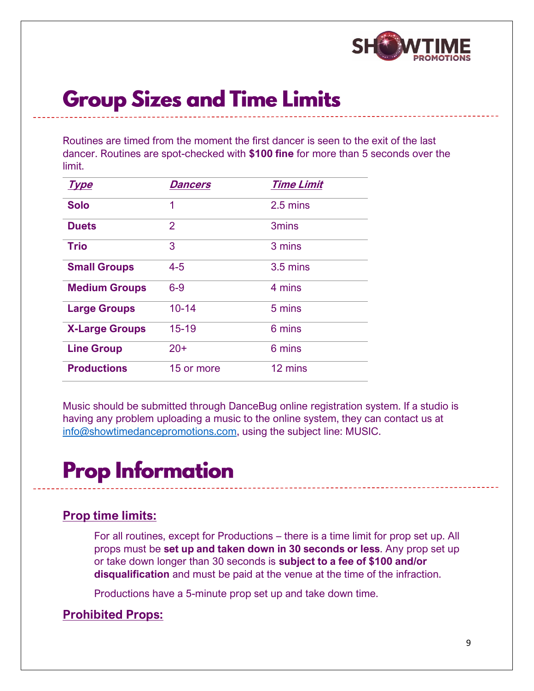

## **Group Sizes and Time Limits**

Routines are timed from the moment the first dancer is seen to the exit of the last dancer. Routines are spot-checked with **\$100 fine** for more than 5 seconds over the limit.

| <u>Type</u>           | Dancers        | <b>Time Limit</b> |
|-----------------------|----------------|-------------------|
| <b>Solo</b>           | 1              | 2.5 mins          |
| <b>Duets</b>          | $\overline{2}$ | <b>3mins</b>      |
| <b>Trio</b>           | 3              | 3 mins            |
| <b>Small Groups</b>   | $4 - 5$        | 3.5 mins          |
| <b>Medium Groups</b>  | $6-9$          | 4 mins            |
| <b>Large Groups</b>   | $10 - 14$      | 5 mins            |
| <b>X-Large Groups</b> | $15 - 19$      | 6 mins            |
| <b>Line Group</b>     | $20+$          | 6 mins            |
| <b>Productions</b>    | 15 or more     | 12 mins           |

Music should be submitted through DanceBug online registration system. If a studio is having any problem uploading a music to the online system, they can contact us at [info@showtimedancepromotions.com,](mailto:info@showtimedancepromotions.com) using the subject line: MUSIC.

# **Prop Information**

### **Prop time limits:**

For all routines, except for Productions – there is a time limit for prop set up. All props must be **set up and taken down in 30 seconds or less**. Any prop set up or take down longer than 30 seconds is **subject to a fee of \$100 and/or disqualification** and must be paid at the venue at the time of the infraction.

Productions have a 5-minute prop set up and take down time.

### **Prohibited Props:**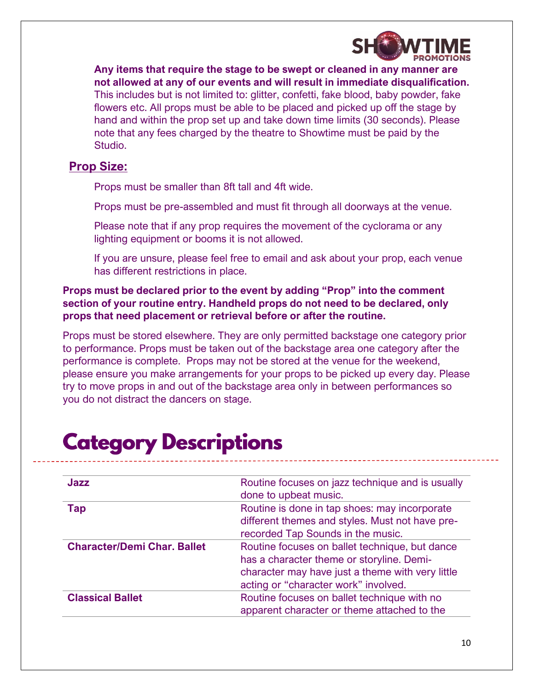

**Any items that require the stage to be swept or cleaned in any manner are not allowed at any of our events and will result in immediate disqualification.** This includes but is not limited to: glitter, confetti, fake blood, baby powder, fake flowers etc. All props must be able to be placed and picked up off the stage by hand and within the prop set up and take down time limits (30 seconds). Please note that any fees charged by the theatre to Showtime must be paid by the Studio.

### **Prop Size:**

Props must be smaller than 8ft tall and 4ft wide.

Props must be pre-assembled and must fit through all doorways at the venue.

Please note that if any prop requires the movement of the cyclorama or any lighting equipment or booms it is not allowed.

If you are unsure, please feel free to email and ask about your prop, each venue has different restrictions in place.

**Props must be declared prior to the event by adding "Prop" into the comment section of your routine entry. Handheld props do not need to be declared, only props that need placement or retrieval before or after the routine.**

Props must be stored elsewhere. They are only permitted backstage one category prior to performance. Props must be taken out of the backstage area one category after the performance is complete. Props may not be stored at the venue for the weekend, please ensure you make arrangements for your props to be picked up every day. Please try to move props in and out of the backstage area only in between performances so you do not distract the dancers on stage.

| Jazz                               | Routine focuses on jazz technique and is usually |
|------------------------------------|--------------------------------------------------|
|                                    | done to upbeat music.                            |
| Тар                                | Routine is done in tap shoes: may incorporate    |
|                                    | different themes and styles. Must not have pre-  |
|                                    | recorded Tap Sounds in the music.                |
| <b>Character/Demi Char. Ballet</b> | Routine focuses on ballet technique, but dance   |
|                                    | has a character theme or storyline. Demi-        |
|                                    | character may have just a theme with very little |
|                                    | acting or "character work" involved.             |
| <b>Classical Ballet</b>            | Routine focuses on ballet technique with no      |
|                                    | apparent character or theme attached to the      |

## **Category Descriptions**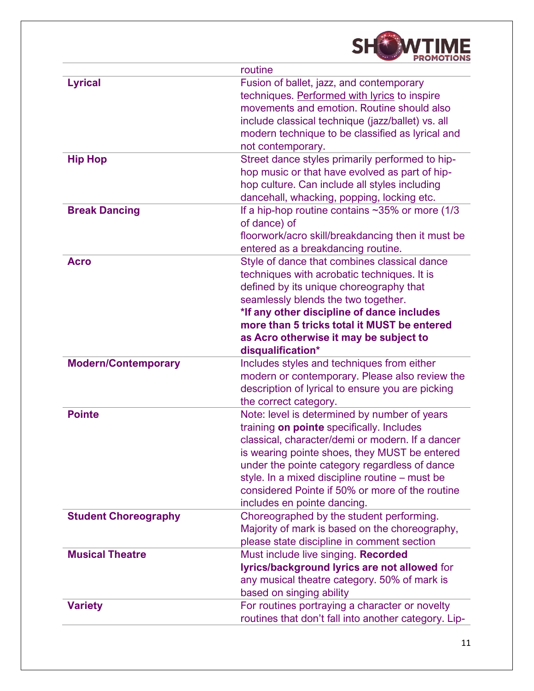|                             | routine                                                                                                                                                                                                                                                                                                                                                                             |
|-----------------------------|-------------------------------------------------------------------------------------------------------------------------------------------------------------------------------------------------------------------------------------------------------------------------------------------------------------------------------------------------------------------------------------|
| <b>Lyrical</b>              | Fusion of ballet, jazz, and contemporary<br>techniques. Performed with lyrics to inspire<br>movements and emotion. Routine should also<br>include classical technique (jazz/ballet) vs. all<br>modern technique to be classified as lyrical and<br>not contemporary.                                                                                                                |
| <b>Hip Hop</b>              | Street dance styles primarily performed to hip-<br>hop music or that have evolved as part of hip-<br>hop culture. Can include all styles including<br>dancehall, whacking, popping, locking etc.                                                                                                                                                                                    |
| <b>Break Dancing</b>        | If a hip-hop routine contains $\sim$ 35% or more (1/3<br>of dance) of<br>floorwork/acro skill/breakdancing then it must be<br>entered as a breakdancing routine.                                                                                                                                                                                                                    |
| <b>Acro</b>                 | Style of dance that combines classical dance<br>techniques with acrobatic techniques. It is<br>defined by its unique choreography that<br>seamlessly blends the two together.<br>*If any other discipline of dance includes<br>more than 5 tricks total it MUST be entered<br>as Acro otherwise it may be subject to<br>disqualification*                                           |
| <b>Modern/Contemporary</b>  | Includes styles and techniques from either<br>modern or contemporary. Please also review the<br>description of lyrical to ensure you are picking<br>the correct category.                                                                                                                                                                                                           |
| <b>Pointe</b>               | Note: level is determined by number of years<br>training on pointe specifically. Includes<br>classical, character/demi or modern. If a dancer<br>is wearing pointe shoes, they MUST be entered<br>under the pointe category regardless of dance<br>style. In a mixed discipline routine – must be<br>considered Pointe if 50% or more of the routine<br>includes en pointe dancing. |
| <b>Student Choreography</b> | Choreographed by the student performing.<br>Majority of mark is based on the choreography,<br>please state discipline in comment section                                                                                                                                                                                                                                            |
| <b>Musical Theatre</b>      | Must include live singing. Recorded<br>lyrics/background lyrics are not allowed for<br>any musical theatre category. 50% of mark is<br>based on singing ability                                                                                                                                                                                                                     |
| <b>Variety</b>              | For routines portraying a character or novelty<br>routines that don't fall into another category. Lip-                                                                                                                                                                                                                                                                              |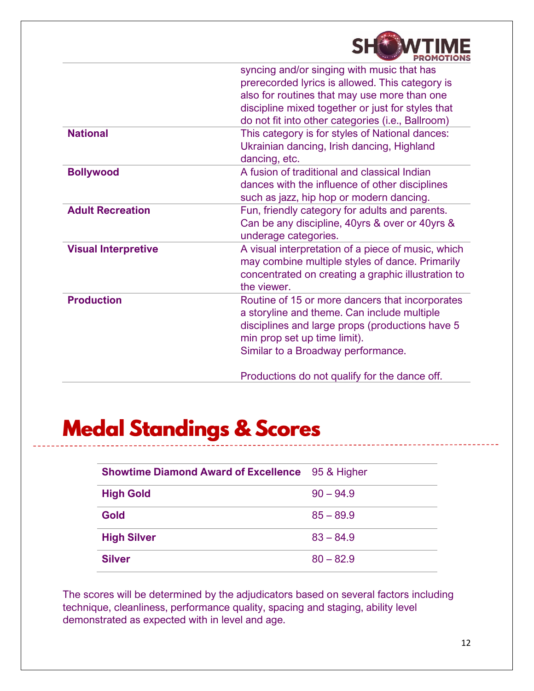

|                            | syncing and/or singing with music that has<br>prerecorded lyrics is allowed. This category is<br>also for routines that may use more than one<br>discipline mixed together or just for styles that<br>do not fit into other categories (i.e., Ballroom) |
|----------------------------|---------------------------------------------------------------------------------------------------------------------------------------------------------------------------------------------------------------------------------------------------------|
| <b>National</b>            | This category is for styles of National dances:<br>Ukrainian dancing, Irish dancing, Highland<br>dancing, etc.                                                                                                                                          |
| <b>Bollywood</b>           | A fusion of traditional and classical Indian<br>dances with the influence of other disciplines<br>such as jazz, hip hop or modern dancing.                                                                                                              |
| <b>Adult Recreation</b>    | Fun, friendly category for adults and parents.<br>Can be any discipline, 40yrs & over or 40yrs &<br>underage categories.                                                                                                                                |
| <b>Visual Interpretive</b> | A visual interpretation of a piece of music, which<br>may combine multiple styles of dance. Primarily<br>concentrated on creating a graphic illustration to<br>the viewer.                                                                              |
| <b>Production</b>          | Routine of 15 or more dancers that incorporates<br>a storyline and theme. Can include multiple<br>disciplines and large props (productions have 5<br>min prop set up time limit).<br>Similar to a Broadway performance.                                 |
|                            | Productions do not qualify for the dance off.                                                                                                                                                                                                           |

## **Medal Standings & Scores**

| <b>Showtime Diamond Award of Excellence</b> | 95 & Higher |
|---------------------------------------------|-------------|
| <b>High Gold</b>                            | $90 - 94.9$ |
| <b>Gold</b>                                 | $85 - 89.9$ |
| <b>High Silver</b>                          | $83 - 84.9$ |
| <b>Silver</b>                               | $80 - 82.9$ |

The scores will be determined by the adjudicators based on several factors including technique, cleanliness, performance quality, spacing and staging, ability level demonstrated as expected with in level and age.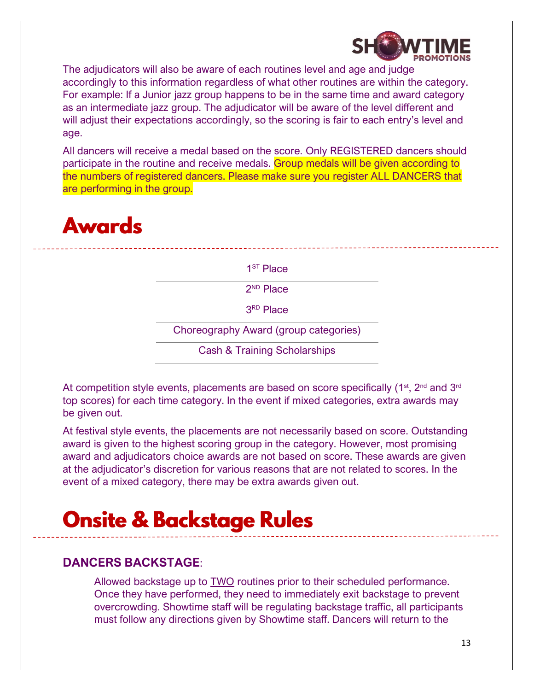

The adjudicators will also be aware of each routines level and age and judge accordingly to this information regardless of what other routines are within the category. For example: If a Junior jazz group happens to be in the same time and award category as an intermediate jazz group. The adjudicator will be aware of the level different and will adjust their expectations accordingly, so the scoring is fair to each entry's level and age.

All dancers will receive a medal based on the score. Only REGISTERED dancers should participate in the routine and receive medals. Group medals will be given according to the numbers of registered dancers. Please make sure you register ALL DANCERS that are performing in the group.

## **Awards**

1 ST Place

2 ND Place

3 RD Place

Choreography Award (group categories)

Cash & Training Scholarships

At competition style events, placements are based on score specifically ( $1<sup>st</sup>$ ,  $2<sup>nd</sup>$  and  $3<sup>rd</sup>$ top scores) for each time category. In the event if mixed categories, extra awards may be given out.

At festival style events, the placements are not necessarily based on score. Outstanding award is given to the highest scoring group in the category. However, most promising award and adjudicators choice awards are not based on score. These awards are given at the adjudicator's discretion for various reasons that are not related to scores. In the event of a mixed category, there may be extra awards given out.

## **Onsite & Backstage Rules**

### **DANCERS BACKSTAGE**:

Allowed backstage up to TWO routines prior to their scheduled performance. Once they have performed, they need to immediately exit backstage to prevent overcrowding. Showtime staff will be regulating backstage traffic, all participants must follow any directions given by Showtime staff. Dancers will return to the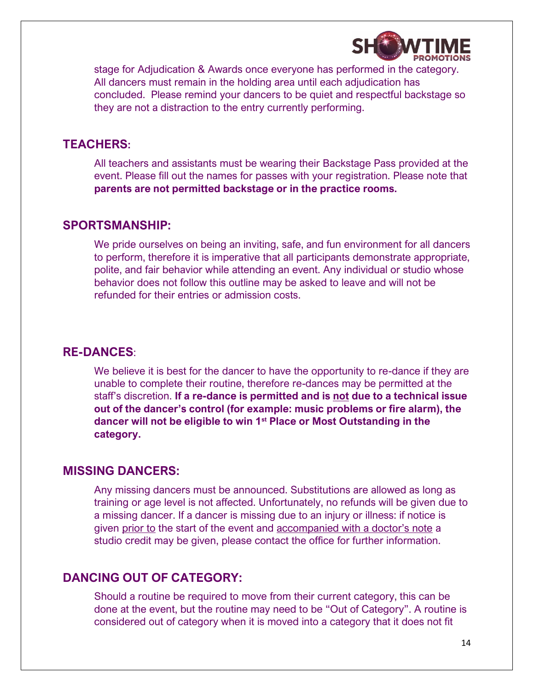

stage for Adjudication & Awards once everyone has performed in the category. All dancers must remain in the holding area until each adjudication has concluded. Please remind your dancers to be quiet and respectful backstage so they are not a distraction to the entry currently performing.

### **TEACHERS:**

All teachers and assistants must be wearing their Backstage Pass provided at the event. Please fill out the names for passes with your registration. Please note that **parents are not permitted backstage or in the practice rooms.**

#### **SPORTSMANSHIP:**

We pride ourselves on being an inviting, safe, and fun environment for all dancers to perform, therefore it is imperative that all participants demonstrate appropriate, polite, and fair behavior while attending an event. Any individual or studio whose behavior does not follow this outline may be asked to leave and will not be refunded for their entries or admission costs.

### **RE-DANCES**:

We believe it is best for the dancer to have the opportunity to re-dance if they are unable to complete their routine, therefore re-dances may be permitted at the staff's discretion. **If a re-dance is permitted and is not due to a technical issue out of the dancer's control (for example: music problems or fire alarm), the dancer will not be eligible to win 1st Place or Most Outstanding in the category.**

### **MISSING DANCERS:**

Any missing dancers must be announced. Substitutions are allowed as long as training or age level is not affected. Unfortunately, no refunds will be given due to a missing dancer. If a dancer is missing due to an injury or illness: if notice is given prior to the start of the event and accompanied with a doctor's note a studio credit may be given, please contact the office for further information.

### **DANCING OUT OF CATEGORY:**

Should a routine be required to move from their current category, this can be done at the event, but the routine may need to be "Out of Category". A routine is considered out of category when it is moved into a category that it does not fit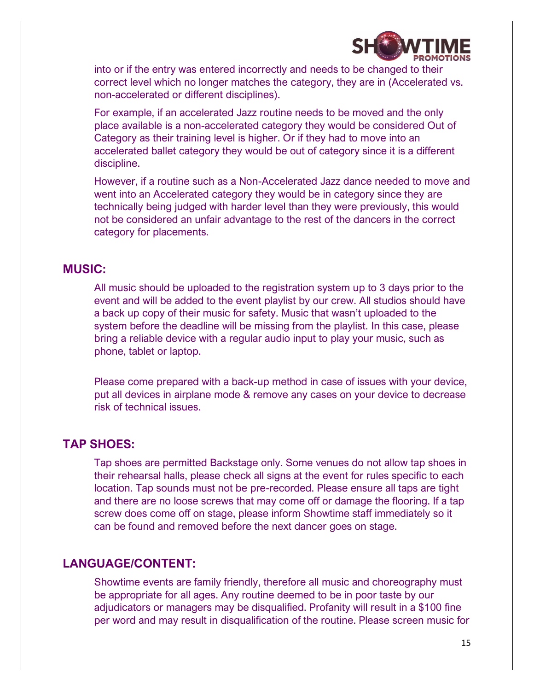

into or if the entry was entered incorrectly and needs to be changed to their correct level which no longer matches the category, they are in (Accelerated vs. non-accelerated or different disciplines).

For example, if an accelerated Jazz routine needs to be moved and the only place available is a non-accelerated category they would be considered Out of Category as their training level is higher. Or if they had to move into an accelerated ballet category they would be out of category since it is a different discipline.

However, if a routine such as a Non-Accelerated Jazz dance needed to move and went into an Accelerated category they would be in category since they are technically being judged with harder level than they were previously, this would not be considered an unfair advantage to the rest of the dancers in the correct category for placements.

### **MUSIC:**

All music should be uploaded to the registration system up to 3 days prior to the event and will be added to the event playlist by our crew. All studios should have a back up copy of their music for safety. Music that wasn't uploaded to the system before the deadline will be missing from the playlist. In this case, please bring a reliable device with a regular audio input to play your music, such as phone, tablet or laptop.

Please come prepared with a back-up method in case of issues with your device, put all devices in airplane mode & remove any cases on your device to decrease risk of technical issues.

### **TAP SHOES:**

Tap shoes are permitted Backstage only. Some venues do not allow tap shoes in their rehearsal halls, please check all signs at the event for rules specific to each location. Tap sounds must not be pre-recorded. Please ensure all taps are tight and there are no loose screws that may come off or damage the flooring. If a tap screw does come off on stage, please inform Showtime staff immediately so it can be found and removed before the next dancer goes on stage.

### **LANGUAGE/CONTENT:**

Showtime events are family friendly, therefore all music and choreography must be appropriate for all ages. Any routine deemed to be in poor taste by our adjudicators or managers may be disqualified. Profanity will result in a \$100 fine per word and may result in disqualification of the routine. Please screen music for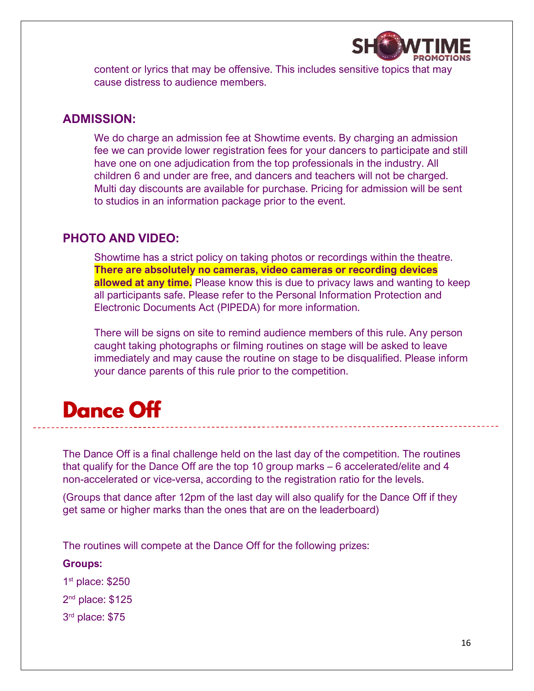

content or lyrics that may be offensive. This includes sensitive topics that may cause distress to audience members.

### **ADMISSION:**

We do charge an admission fee at Showtime events. By charging an admission fee we can provide lower registration fees for your dancers to participate and still have one on one adjudication from the top professionals in the industry. All children 6 and under are free, and dancers and teachers will not be charged. Multi day discounts are available for purchase. Pricing for admission will be sent to studios in an information package prior to the event.

### **PHOTO AND VIDEO:**

Showtime has a strict policy on taking photos or recordings within the theatre. **There are absolutely no cameras, video cameras or recording devices allowed at any time.** Please know this is due to privacy laws and wanting to keep all participants safe. Please refer to the Personal Information Protection and Electronic Documents Act (PIPEDA) for more information.

There will be signs on site to remind audience members of this rule. Any person caught taking photographs or filming routines on stage will be asked to leave immediately and may cause the routine on stage to be disqualified. Please inform your dance parents of this rule prior to the competition.

## **Dance Off**

The Dance Off is a final challenge held on the last day of the competition. The routines that qualify for the Dance Off are the top 10 group marks – 6 accelerated/elite and 4 non-accelerated or vice-versa, according to the registration ratio for the levels.

(Groups that dance after 12pm of the last day will also qualify for the Dance Off if they get same or higher marks than the ones that are on the leaderboard)

The routines will compete at the Dance Off for the following prizes:

**Groups:**

1 st place: \$250

2 nd place: \$125

3 rd place: \$75